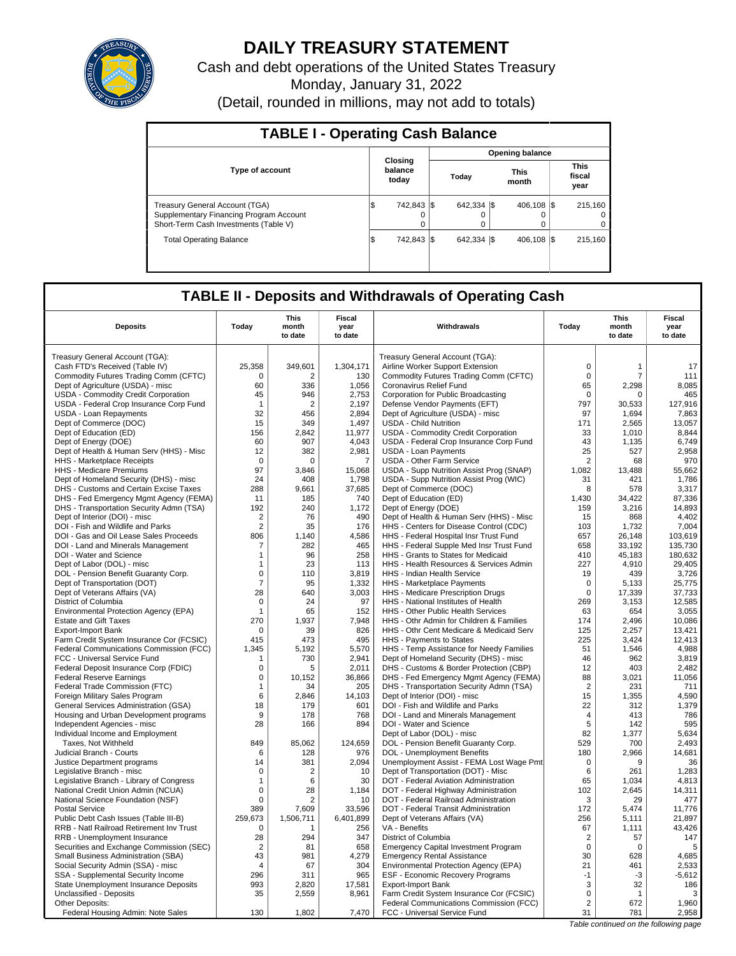

# **DAILY TREASURY STATEMENT**

Cash and debt operations of the United States Treasury Monday, January 31, 2022 (Detail, rounded in millions, may not add to totals)

| <b>TABLE I - Operating Cash Balance</b>                                                                                   |                             |   |  |                         |  |                      |  |                               |  |  |  |  |  |  |  |  |  |
|---------------------------------------------------------------------------------------------------------------------------|-----------------------------|---|--|-------------------------|--|----------------------|--|-------------------------------|--|--|--|--|--|--|--|--|--|
|                                                                                                                           | <b>Opening balance</b>      |   |  |                         |  |                      |  |                               |  |  |  |  |  |  |  |  |  |
| <b>Type of account</b>                                                                                                    | Closing<br>balance<br>today |   |  | Today                   |  | <b>This</b><br>month |  | <b>This</b><br>fiscal<br>year |  |  |  |  |  |  |  |  |  |
| <b>Treasury General Account (TGA)</b><br>Supplementary Financing Program Account<br>Short-Term Cash Investments (Table V) | 742.843 \\$<br>I\$          | 0 |  | 642.334 \\$<br>$\Omega$ |  | 406.108 \\ \$<br>0   |  | 215.160<br>$^{\circ}$<br>0    |  |  |  |  |  |  |  |  |  |
| <b>Total Operating Balance</b>                                                                                            | 742.843 \\$<br>1\$          |   |  | 642.334 \\$             |  | 406.108 \\ \$        |  | 215.160                       |  |  |  |  |  |  |  |  |  |

# **TABLE II - Deposits and Withdrawals of Operating Cash**

| <b>Deposits</b>                                                   | Today             | This<br>month<br>to date | Fiscal<br>year<br>to date | Withdrawals                                                                        | Today                | <b>This</b><br>month<br>to date | <b>Fiscal</b><br>year<br>to date |
|-------------------------------------------------------------------|-------------------|--------------------------|---------------------------|------------------------------------------------------------------------------------|----------------------|---------------------------------|----------------------------------|
| Treasury General Account (TGA):                                   |                   |                          |                           | Treasury General Account (TGA):                                                    |                      |                                 |                                  |
| Cash FTD's Received (Table IV)                                    | 25,358            | 349,601                  | 1,304,171                 | Airline Worker Support Extension                                                   | $\mathbf 0$          | 1                               | 17                               |
| Commodity Futures Trading Comm (CFTC)                             | $\mathbf 0$       | $\overline{2}$           | 130                       | Commodity Futures Trading Comm (CFTC)                                              | $\mathbf 0$          | 7                               | 111                              |
| Dept of Agriculture (USDA) - misc                                 | 60                | 336                      | 1,056                     | Coronavirus Relief Fund                                                            | 65                   | 2,298                           | 8,085                            |
| USDA - Commodity Credit Corporation                               | 45                | 946                      | 2.753                     | Corporation for Public Broadcasting                                                | $\mathbf 0$          | $\Omega$                        | 465                              |
| USDA - Federal Crop Insurance Corp Fund                           | $\mathbf 1$       | $\overline{2}$           | 2,197                     | Defense Vendor Payments (EFT)                                                      | 797                  | 30,533                          | 127,916                          |
| <b>USDA - Loan Repayments</b>                                     | 32                | 456                      | 2,894                     | Dept of Agriculture (USDA) - misc                                                  | 97                   | 1,694                           | 7,863                            |
| Dept of Commerce (DOC)                                            | 15                | 349                      | 1,497                     | <b>USDA - Child Nutrition</b>                                                      | 171                  | 2,565                           | 13,057                           |
| Dept of Education (ED)                                            | 156               | 2,842                    | 11,977                    | USDA - Commodity Credit Corporation                                                | 33                   | 1,010                           | 8,844                            |
| Dept of Energy (DOE)                                              | 60                | 907                      | 4,043                     | USDA - Federal Crop Insurance Corp Fund                                            | 43                   | 1,135                           | 6,749                            |
| Dept of Health & Human Serv (HHS) - Misc                          | 12                | 382                      | 2,981                     | <b>USDA - Loan Payments</b>                                                        | 25                   | 527                             | 2,958                            |
| HHS - Marketplace Receipts                                        | $\mathbf 0$       | $\Omega$                 | $\overline{7}$            | <b>USDA - Other Farm Service</b>                                                   | $\overline{2}$       | 68                              | 970                              |
| HHS - Medicare Premiums                                           | 97                | 3,846                    | 15,068                    | USDA - Supp Nutrition Assist Prog (SNAP)                                           | 1,082                | 13,488                          | 55,662                           |
| Dept of Homeland Security (DHS) - misc                            | 24                | 408                      | 1,798                     | USDA - Supp Nutrition Assist Prog (WIC)                                            | 31                   | 421                             | 1.786                            |
| DHS - Customs and Certain Excise Taxes                            | 288               | 9,661                    | 37,685                    | Dept of Commerce (DOC)                                                             | 8                    | 578                             | 3,317                            |
| DHS - Fed Emergency Mgmt Agency (FEMA)                            | 11                | 185                      | 740                       | Dept of Education (ED)                                                             | 1,430                | 34,422                          | 87,336                           |
| DHS - Transportation Security Admn (TSA)                          | 192               | 240                      | 1,172                     | Dept of Energy (DOE)                                                               | 159                  | 3,216                           | 14,893                           |
| Dept of Interior (DOI) - misc                                     | $\overline{2}$    | 76                       | 490                       | Dept of Health & Human Serv (HHS) - Misc                                           | 15                   | 868                             | 4,402                            |
| DOI - Fish and Wildlife and Parks                                 | $\overline{2}$    | 35                       | 176                       | HHS - Centers for Disease Control (CDC)                                            | 103                  | 1.732                           | 7,004                            |
| DOI - Gas and Oil Lease Sales Proceeds                            | 806               | 1.140                    | 4,586                     | HHS - Federal Hospital Insr Trust Fund                                             | 657                  | 26,148                          | 103,619                          |
| DOI - Land and Minerals Management                                | 7                 | 282                      | 465                       | HHS - Federal Supple Med Insr Trust Fund                                           | 658                  | 33.192                          | 135,730                          |
| DOI - Water and Science                                           | $\mathbf{1}$      | 96                       | 258                       | HHS - Grants to States for Medicaid                                                | 410                  | 45,183                          | 180,632                          |
| Dept of Labor (DOL) - misc                                        | $\mathbf{1}$      | 23                       | 113                       | HHS - Health Resources & Services Admin                                            | 227                  | 4,910                           | 29,405                           |
| DOL - Pension Benefit Guaranty Corp.                              | $\mathsf 0$       | 110                      | 3,819                     | HHS - Indian Health Service                                                        | 19                   | 439                             | 3,726                            |
| Dept of Transportation (DOT)                                      | $\overline{7}$    | 95                       | 1,332                     | HHS - Marketplace Payments                                                         | $\mathbf 0$          | 5,133                           | 25,775                           |
| Dept of Veterans Affairs (VA)                                     | 28                | 640                      | 3,003                     | HHS - Medicare Prescription Drugs                                                  | 0                    | 17,339                          | 37,733                           |
| District of Columbia                                              | $\mathbf 0$       | 24                       | 97                        | HHS - National Institutes of Health                                                | 269                  | 3,153                           | 12,585                           |
| Environmental Protection Agency (EPA)                             | $\mathbf{1}$      | 65                       | 152                       | HHS - Other Public Health Services                                                 | 63                   | 654                             | 3,055                            |
| <b>Estate and Gift Taxes</b>                                      | 270               | 1.937                    | 7,948                     | HHS - Othr Admin for Children & Families                                           | 174                  | 2.496                           | 10.086                           |
| <b>Export-Import Bank</b>                                         | $\mathbf 0$       | 39                       | 826                       | HHS - Othr Cent Medicare & Medicaid Serv                                           | 125                  | 2,257                           | 13,421                           |
| Farm Credit System Insurance Cor (FCSIC)                          | 415               | 473                      | 495                       | HHS - Payments to States                                                           | 225                  | 3.424                           | 12.413                           |
| Federal Communications Commission (FCC)                           | 1,345             | 5,192                    | 5,570                     | HHS - Temp Assistance for Needy Families                                           | 51                   | 1,546                           | 4,988                            |
| FCC - Universal Service Fund                                      | -1                | 730                      | 2,941                     | Dept of Homeland Security (DHS) - misc                                             | 46                   | 962                             | 3,819                            |
| Federal Deposit Insurance Corp (FDIC)                             | $\mathbf 0$       | 5                        | 2,011                     | DHS - Customs & Border Protection (CBP)                                            | 12                   | 403                             | 2,482<br>11,056                  |
| <b>Federal Reserve Earnings</b><br>Federal Trade Commission (FTC) | 0<br>$\mathbf{1}$ | 10,152<br>34             | 36,866<br>205             | DHS - Fed Emergency Mgmt Agency (FEMA)<br>DHS - Transportation Security Admn (TSA) | 88<br>$\overline{2}$ | 3,021<br>231                    | 711                              |
| Foreign Military Sales Program                                    | 6                 | 2,846                    | 14,103                    | Dept of Interior (DOI) - misc                                                      | 15                   | 1,355                           | 4,590                            |
| General Services Administration (GSA)                             | 18                | 179                      | 601                       | DOI - Fish and Wildlife and Parks                                                  | 22                   | 312                             | 1,379                            |
| Housing and Urban Development programs                            | 9                 | 178                      | 768                       | DOI - Land and Minerals Management                                                 | $\overline{4}$       | 413                             | 786                              |
| Independent Agencies - misc                                       | 28                | 166                      | 894                       | DOI - Water and Science                                                            | 5                    | 142                             | 595                              |
| Individual Income and Employment                                  |                   |                          |                           | Dept of Labor (DOL) - misc                                                         | 82                   | 1,377                           | 5,634                            |
| Taxes, Not Withheld                                               | 849               | 85,062                   | 124,659                   | DOL - Pension Benefit Guaranty Corp.                                               | 529                  | 700                             | 2,493                            |
| Judicial Branch - Courts                                          | 6                 | 128                      | 976                       | <b>DOL</b> - Unemployment Benefits                                                 | 180                  | 2,966                           | 14,681                           |
| Justice Department programs                                       | 14                | 381                      | 2,094                     | Unemployment Assist - FEMA Lost Wage Pmt                                           | $\mathbf 0$          | 9                               | 36                               |
| Legislative Branch - misc                                         | $\Omega$          | $\overline{2}$           | 10                        | Dept of Transportation (DOT) - Misc                                                | 6                    | 261                             | 1,283                            |
| Legislative Branch - Library of Congress                          | $\mathbf{1}$      | 6                        | 30                        | DOT - Federal Aviation Administration                                              | 65                   | 1,034                           | 4,813                            |
| National Credit Union Admin (NCUA)                                | $\mathbf 0$       | 28                       | 1,184                     | DOT - Federal Highway Administration                                               | 102                  | 2,645                           | 14,311                           |
| National Science Foundation (NSF)                                 | $\Omega$          | $\overline{2}$           | 10                        | DOT - Federal Railroad Administration                                              | 3                    | 29                              | 477                              |
| <b>Postal Service</b>                                             | 389               | 7,609                    | 33,596                    | DOT - Federal Transit Administration                                               | 172                  | 5,474                           | 11,776                           |
| Public Debt Cash Issues (Table III-B)                             | 259,673           | 1,506,711                | 6,401,899                 | Dept of Veterans Affairs (VA)                                                      | 256                  | 5,111                           | 21,897                           |
| RRB - Natl Railroad Retirement Inv Trust                          | $\Omega$          | 1                        | 256                       | VA - Benefits                                                                      | 67                   | 1,111                           | 43,426                           |
| RRB - Unemployment Insurance                                      | 28                | 294                      | 347                       | District of Columbia                                                               | $\overline{2}$       | 57                              | 147                              |
| Securities and Exchange Commission (SEC)                          | $\overline{2}$    | 81                       | 658                       | <b>Emergency Capital Investment Program</b>                                        | $\mathbf 0$          | $\mathbf 0$                     | 5                                |
| Small Business Administration (SBA)                               | 43                | 981                      | 4,279                     | <b>Emergency Rental Assistance</b>                                                 | 30                   | 628                             | 4,685                            |
| Social Security Admin (SSA) - misc                                | $\overline{4}$    | 67                       | 304                       | Environmental Protection Agency (EPA)                                              | 21                   | 461                             | 2,533                            |
| SSA - Supplemental Security Income                                | 296               | 311                      | 965                       | <b>ESF - Economic Recovery Programs</b>                                            | $-1$                 | $-3$                            | $-5,612$                         |
| State Unemployment Insurance Deposits                             | 993               | 2,820                    | 17,581                    | <b>Export-Import Bank</b>                                                          | 3                    | 32                              | 186                              |
| Unclassified - Deposits                                           | 35                | 2,559                    | 8,961                     | Farm Credit System Insurance Cor (FCSIC)                                           | 0                    | $\mathbf 1$                     | 3                                |
| Other Deposits:                                                   |                   |                          |                           | Federal Communications Commission (FCC)                                            | 2                    | 672                             | 1,960                            |
| Federal Housing Admin: Note Sales                                 | 130               | 1,802                    | 7,470                     | FCC - Universal Service Fund                                                       | 31                   | 781                             | 2,958                            |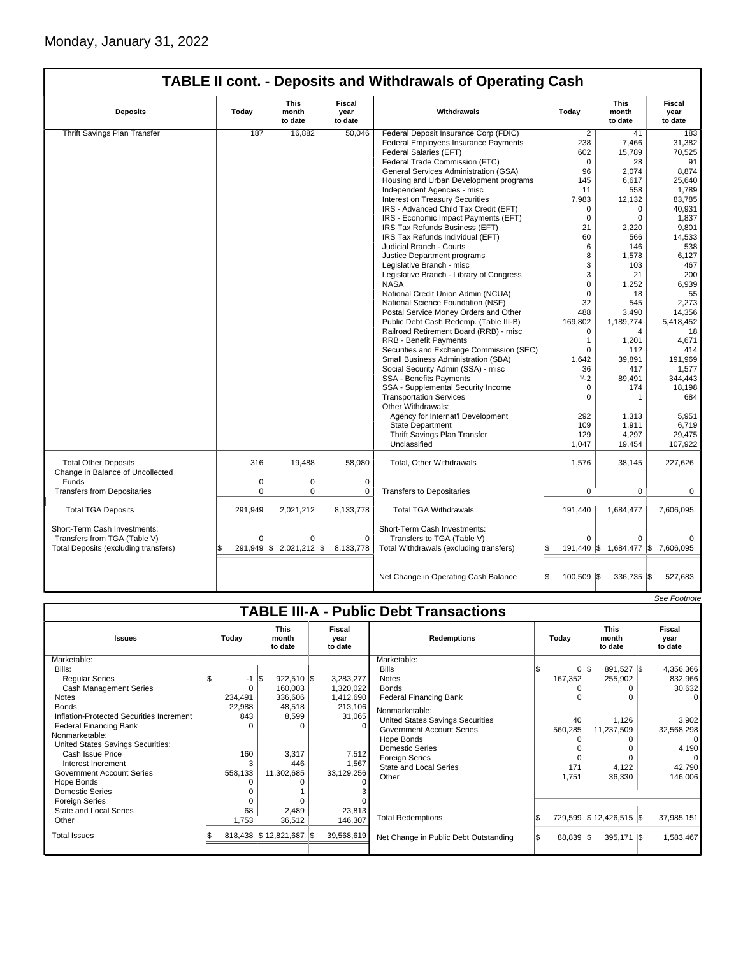|                                                                 |             |                                 |                           | <b>TABLE II cont. - Deposits and Withdrawals of Operating Cash</b> |                  |                                   |                           |
|-----------------------------------------------------------------|-------------|---------------------------------|---------------------------|--------------------------------------------------------------------|------------------|-----------------------------------|---------------------------|
| <b>Deposits</b>                                                 | Today       | <b>This</b><br>month<br>to date | Fiscal<br>year<br>to date | Withdrawals                                                        | Today            | <b>This</b><br>month<br>to date   | Fiscal<br>year<br>to date |
| <b>Thrift Savings Plan Transfer</b>                             | 187         | 16,882                          | 50.046                    | Federal Deposit Insurance Corp (FDIC)                              | $\overline{2}$   | 41                                | 183                       |
|                                                                 |             |                                 |                           | Federal Employees Insurance Payments                               | 238              | 7,466                             | 31,382                    |
|                                                                 |             |                                 |                           | Federal Salaries (EFT)                                             | 602              | 15,789                            | 70,525                    |
|                                                                 |             |                                 |                           | Federal Trade Commission (FTC)                                     | $\mathbf 0$      | 28                                | 91                        |
|                                                                 |             |                                 |                           | General Services Administration (GSA)                              | 96               | 2,074                             | 8,874                     |
|                                                                 |             |                                 |                           | Housing and Urban Development programs                             | 145              | 6,617                             | 25,640                    |
|                                                                 |             |                                 |                           | Independent Agencies - misc                                        | 11               | 558                               | 1.789                     |
|                                                                 |             |                                 |                           | <b>Interest on Treasury Securities</b>                             | 7,983            | 12,132                            | 83,785                    |
|                                                                 |             |                                 |                           | IRS - Advanced Child Tax Credit (EFT)                              | $\mathbf 0$      | $\mathbf 0$                       | 40.931                    |
|                                                                 |             |                                 |                           | IRS - Economic Impact Payments (EFT)                               | $\Omega$         | $\Omega$                          | 1,837                     |
|                                                                 |             |                                 |                           | IRS Tax Refunds Business (EFT)                                     | 21               | 2,220                             | 9,801                     |
|                                                                 |             |                                 |                           | IRS Tax Refunds Individual (EFT)                                   | 60               | 566                               | 14,533                    |
|                                                                 |             |                                 |                           | Judicial Branch - Courts                                           | 6                | 146                               | 538                       |
|                                                                 |             |                                 |                           | Justice Department programs                                        | 8                | 1,578                             | 6,127                     |
|                                                                 |             |                                 |                           | Legislative Branch - misc                                          | 3                | 103                               | 467                       |
|                                                                 |             |                                 |                           | Legislative Branch - Library of Congress                           | 3                | 21                                | 200                       |
|                                                                 |             |                                 |                           | <b>NASA</b>                                                        | $\mathbf 0$      | 1,252                             | 6,939                     |
|                                                                 |             |                                 |                           | National Credit Union Admin (NCUA)                                 | $\mathbf 0$      | 18                                | 55                        |
|                                                                 |             |                                 |                           | National Science Foundation (NSF)                                  | 32               | 545                               | 2,273                     |
|                                                                 |             |                                 |                           | Postal Service Money Orders and Other                              | 488              | 3,490                             | 14,356                    |
|                                                                 |             |                                 |                           | Public Debt Cash Redemp. (Table III-B)                             | 169,802          | 1,189,774                         | 5,418,452                 |
|                                                                 |             |                                 |                           | Railroad Retirement Board (RRB) - misc                             | $\Omega$         | $\overline{\mathbf{4}}$           | 18                        |
|                                                                 |             |                                 |                           | <b>RRB - Benefit Payments</b>                                      | $\mathbf{1}$     | 1,201                             | 4,671                     |
|                                                                 |             |                                 |                           | Securities and Exchange Commission (SEC)                           | $\Omega$         | 112                               | 414                       |
|                                                                 |             |                                 |                           | Small Business Administration (SBA)                                | 1,642            | 39.891                            | 191,969                   |
|                                                                 |             |                                 |                           | Social Security Admin (SSA) - misc                                 | 36               | 417                               | 1,577                     |
|                                                                 |             |                                 |                           | <b>SSA - Benefits Payments</b>                                     | $1/-2$           | 89,491                            | 344,443                   |
|                                                                 |             |                                 |                           | SSA - Supplemental Security Income                                 | 0                | 174                               | 18,198                    |
|                                                                 |             |                                 |                           | <b>Transportation Services</b>                                     | $\Omega$         | $\mathbf{1}$                      | 684                       |
|                                                                 |             |                                 |                           | Other Withdrawals:                                                 |                  |                                   |                           |
|                                                                 |             |                                 |                           | Agency for Internat'l Development                                  | 292              | 1,313                             | 5,951                     |
|                                                                 |             |                                 |                           | <b>State Department</b>                                            | 109              | 1,911                             | 6,719                     |
|                                                                 |             |                                 |                           | Thrift Savings Plan Transfer                                       | 129              | 4,297                             | 29,475                    |
|                                                                 |             |                                 |                           | Unclassified                                                       | 1,047            | 19,454                            | 107,922                   |
|                                                                 |             |                                 |                           |                                                                    |                  |                                   |                           |
| <b>Total Other Deposits</b><br>Change in Balance of Uncollected | 316         | 19,488                          | 58.080                    | Total, Other Withdrawals                                           | 1,576            | 38,145                            | 227,626                   |
| Funds                                                           | 0           | 0                               | $\mathbf 0$               |                                                                    |                  |                                   |                           |
| <b>Transfers from Depositaries</b>                              | $\Omega$    | 0                               | 0                         | <b>Transfers to Depositaries</b>                                   | $\mathbf 0$      | 0                                 | $\Omega$                  |
| <b>Total TGA Deposits</b>                                       | 291,949     | 2,021,212                       | 8,133,778                 | <b>Total TGA Withdrawals</b>                                       | 191,440          | 1,684,477                         | 7,606,095                 |
| Short-Term Cash Investments:                                    |             |                                 |                           | Short-Term Cash Investments:                                       |                  |                                   |                           |
| Transfers from TGA (Table V)                                    | $\mathbf 0$ | $\Omega$                        | $\mathbf 0$               | Transfers to TGA (Table V)                                         | $\Omega$         | 0                                 |                           |
| Total Deposits (excluding transfers)                            |             | 291,949 \$ 2,021,212 \$         | 8,133,778                 | Total Withdrawals (excluding transfers)                            |                  | 191,440 \$ 1,684,477 \$ 7,606,095 |                           |
|                                                                 |             |                                 |                           |                                                                    |                  |                                   |                           |
|                                                                 |             |                                 |                           | Net Change in Operating Cash Balance                               | Ŝ.<br>100,509 \$ | 336,735 \$                        | 527,683                   |

|                                          |         |                                                                                    |  |            |                                               |                                 |                           |                         | <b>SEE FUULIUIE</b> |
|------------------------------------------|---------|------------------------------------------------------------------------------------|--|------------|-----------------------------------------------|---------------------------------|---------------------------|-------------------------|---------------------|
|                                          |         |                                                                                    |  |            | <b>TABLE III-A - Public Debt Transactions</b> |                                 |                           |                         |                     |
| <b>Issues</b>                            | Today   | <b>This</b><br>Fiscal<br><b>Redemptions</b><br>month<br>year<br>to date<br>to date |  | Todav      |                                               | <b>This</b><br>month<br>to date | Fiscal<br>year<br>to date |                         |                     |
| Marketable:                              |         |                                                                                    |  |            | Marketable:                                   |                                 |                           |                         |                     |
| Bills:                                   |         |                                                                                    |  |            | <b>Bills</b>                                  |                                 | 0 S                       | 891,527 \$              | 4,356,366           |
| <b>Reqular Series</b>                    | $-1$ IS | $922,510$ \$                                                                       |  | 3,283,277  | <b>Notes</b>                                  |                                 | 167,352                   | 255,902                 | 832,966             |
| <b>Cash Management Series</b>            | 0       | 160,003                                                                            |  | 1,320,022  | <b>Bonds</b>                                  |                                 |                           |                         | 30,632              |
| <b>Notes</b>                             | 234,491 | 336,606                                                                            |  | 1,412,690  | <b>Federal Financing Bank</b>                 |                                 |                           |                         | $\Omega$            |
| <b>Bonds</b>                             | 22,988  | 48,518                                                                             |  | 213,106    | Nonmarketable:                                |                                 |                           |                         |                     |
| Inflation-Protected Securities Increment | 843     | 8,599                                                                              |  | 31,065     | United States Savings Securities              |                                 | 40                        | 1,126                   | 3,902               |
| <b>Federal Financing Bank</b>            |         |                                                                                    |  | 0          | <b>Government Account Series</b>              |                                 | 560,285                   | 11,237,509              | 32,568,298          |
| Nonmarketable:                           |         |                                                                                    |  |            | Hope Bonds                                    |                                 |                           |                         | $\overline{0}$      |
| United States Savings Securities:        |         |                                                                                    |  |            | <b>Domestic Series</b>                        |                                 |                           |                         | 4,190               |
| Cash Issue Price                         | 160     | 3,317                                                                              |  | 7,512      | <b>Foreign Series</b>                         |                                 | $\Omega$                  |                         | 0                   |
| Interest Increment                       | 3       | 446                                                                                |  | 1,567      | <b>State and Local Series</b>                 |                                 | 171                       | 4,122                   | 42,790              |
| <b>Government Account Series</b>         | 558,133 | 11,302,685                                                                         |  | 33,129,256 | Other                                         |                                 | 1,751                     | 36,330                  | 146,006             |
| Hope Bonds                               |         |                                                                                    |  |            |                                               |                                 |                           |                         |                     |
| <b>Domestic Series</b>                   |         |                                                                                    |  |            |                                               |                                 |                           |                         |                     |
| <b>Foreign Series</b>                    |         |                                                                                    |  |            |                                               |                                 |                           |                         |                     |
| State and Local Series                   | 68      | 2,489                                                                              |  | 23,813     |                                               |                                 |                           |                         |                     |
| Other                                    | 1,753   | 36,512                                                                             |  | 146,307    | <b>Total Redemptions</b>                      |                                 |                           | 729,599 \$12,426,515 \$ | 37,985,151          |
| <b>Total Issues</b>                      |         | 818,438 \$12,821,687 \$                                                            |  | 39,568,619 | Net Change in Public Debt Outstanding         |                                 | 88,839 \$                 | $395,171$ \$            | 1,583,467           |
|                                          |         |                                                                                    |  |            |                                               |                                 |                           |                         |                     |

 $S_{\alpha\alpha}$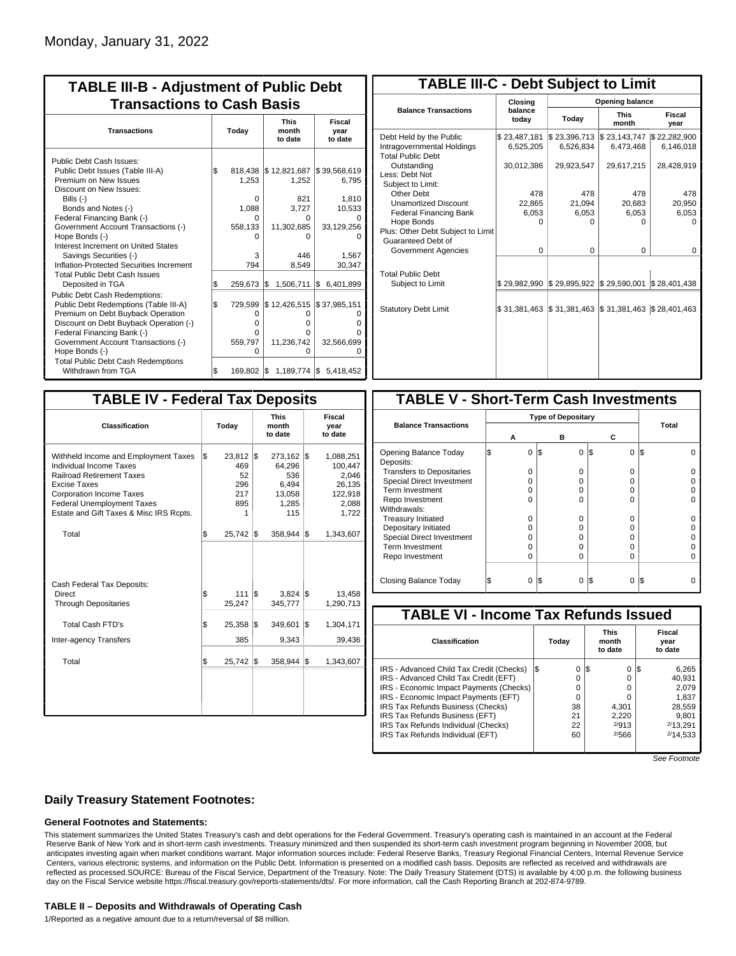| <b>TABLE III-B - Adjustment of Public Debt</b><br><b>Transactions to Cash Basis</b>                       |           |                       |                                  |                                  |  |  |                                 |                           |  |  |
|-----------------------------------------------------------------------------------------------------------|-----------|-----------------------|----------------------------------|----------------------------------|--|--|---------------------------------|---------------------------|--|--|
| <b>Transactions</b>                                                                                       | Today     |                       |                                  |                                  |  |  | <b>This</b><br>month<br>to date | Fiscal<br>year<br>to date |  |  |
| Public Debt Cash Issues:<br>Public Debt Issues (Table III-A)<br>Premium on New Issues                     | \$        | 1,253                 | 818,438 \$12,821,687<br>1,252    | \$39,568,619<br>6,795            |  |  |                                 |                           |  |  |
| Discount on New Issues:<br>Bills $(-)$                                                                    |           | 0                     | 821                              | 1,810                            |  |  |                                 |                           |  |  |
| Bonds and Notes (-)<br>Federal Financing Bank (-)<br>Government Account Transactions (-)                  |           | 1.088<br>n<br>558,133 | 3.727<br>0<br>11,302,685         | 10,533<br>33,129,256             |  |  |                                 |                           |  |  |
| Hope Bonds (-)<br>Interest Increment on United States<br>Savings Securities (-)                           |           | n<br>3                | n<br>446                         | 1.567                            |  |  |                                 |                           |  |  |
| Inflation-Protected Securities Increment<br><b>Total Public Debt Cash Issues</b>                          |           | 794                   | 8,549                            | 30,347                           |  |  |                                 |                           |  |  |
| Deposited in TGA<br>Public Debt Cash Redemptions:<br>Public Debt Redemptions (Table III-A)                | \$<br>l\$ | 259,673<br>729,599    | 1\$<br>1,506,711<br>\$12,426,515 | 6,401,899<br>Ι\$<br>\$37,985,151 |  |  |                                 |                           |  |  |
| Premium on Debt Buyback Operation<br>Discount on Debt Buyback Operation (-)<br>Federal Financing Bank (-) |           | 0<br>O<br>O           | 0<br>o<br>0                      | 0<br>ი<br>U                      |  |  |                                 |                           |  |  |
| Government Account Transactions (-)<br>Hope Bonds (-)                                                     |           | 559,797<br>O          | 11,236,742<br>0                  | 32,566,699<br>$\cup$             |  |  |                                 |                           |  |  |
| <b>Total Public Debt Cash Redemptions</b><br>Withdrawn from TGA                                           | \$        |                       | 169,802 \$1,189,774 \$5.418,452  |                                  |  |  |                                 |                           |  |  |

| <b>TABLE III-C - Debt Subject to Limit</b>                                        |                           |                           |                           |                           |  |  |  |  |  |  |  |  |
|-----------------------------------------------------------------------------------|---------------------------|---------------------------|---------------------------|---------------------------|--|--|--|--|--|--|--|--|
|                                                                                   | Closing                   | Opening balance           |                           |                           |  |  |  |  |  |  |  |  |
| <b>Balance Transactions</b>                                                       | balance<br>today          | Today                     | <b>This</b><br>month      | Fiscal<br>year            |  |  |  |  |  |  |  |  |
| Debt Held by the Public<br>Intragovernmental Holdings<br><b>Total Public Debt</b> | \$23,487,181<br>6,525,205 | \$23,396,713<br>6,526,834 | \$23,143,747<br>6,473,468 | \$22,282,900<br>6,146,018 |  |  |  |  |  |  |  |  |
| Outstanding<br>Less: Debt Not<br>Subject to Limit:                                | 30,012,386                | 29,923,547                | 29,617,215                | 28,428,919                |  |  |  |  |  |  |  |  |
| Other Debt                                                                        | 478                       | 478                       | 478                       | 478                       |  |  |  |  |  |  |  |  |
| <b>Unamortized Discount</b>                                                       | 22,865                    | 21.094                    | 20,683                    | 20,950                    |  |  |  |  |  |  |  |  |
| <b>Federal Financing Bank</b>                                                     | 6,053                     | 6,053                     | 6,053                     | 6,053                     |  |  |  |  |  |  |  |  |
| Hope Bonds                                                                        | O                         | O                         | 0                         | O                         |  |  |  |  |  |  |  |  |
| Plus: Other Debt Subject to Limit<br>Guaranteed Debt of                           |                           |                           |                           |                           |  |  |  |  |  |  |  |  |
| Government Agencies                                                               | $\Omega$                  | 0                         | 0                         | 0                         |  |  |  |  |  |  |  |  |
| <b>Total Public Debt</b><br>Subject to Limit                                      | \$29,982,990              | \$29,895,922              | \$29,590,001              | \$28,401,438              |  |  |  |  |  |  |  |  |
|                                                                                   |                           |                           |                           |                           |  |  |  |  |  |  |  |  |
| <b>Statutory Debt Limit</b>                                                       | \$31.381.463              | \$31,381,463              | \$31,381,463              | \$28,401,463              |  |  |  |  |  |  |  |  |
|                                                                                   |                           |                           |                           |                           |  |  |  |  |  |  |  |  |

| <b>TABLE IV - Federal Tax Deposits</b>                                                                                                                                                                                                        |     |                                                    |     |                                                             |     |                                                                      |
|-----------------------------------------------------------------------------------------------------------------------------------------------------------------------------------------------------------------------------------------------|-----|----------------------------------------------------|-----|-------------------------------------------------------------|-----|----------------------------------------------------------------------|
| <b>Classification</b>                                                                                                                                                                                                                         |     | Today                                              |     | <b>This</b><br>month<br>to date                             |     | Fiscal<br>year<br>to date                                            |
| Withheld Income and Employment Taxes<br>Individual Income Taxes<br><b>Railroad Retirement Taxes</b><br><b>Excise Taxes</b><br><b>Corporation Income Taxes</b><br><b>Federal Unemployment Taxes</b><br>Estate and Gift Taxes & Misc IRS Rcpts. | l\$ | $23,812$ \$<br>469<br>52<br>296<br>217<br>895<br>1 |     | 273,162<br>64,296<br>536<br>6,494<br>13,058<br>1,285<br>115 | l\$ | 1,088,251<br>100.447<br>2,046<br>26,135<br>122,918<br>2,088<br>1,722 |
| Total                                                                                                                                                                                                                                         | \$  | $25,742$ \$                                        |     | 358.944                                                     | 1\$ | 1,343,607                                                            |
| Cash Federal Tax Deposits:<br>Direct<br><b>Through Depositaries</b>                                                                                                                                                                           | \$  | 111<br>25,247                                      | I\$ | 3,824<br>345,777                                            | l\$ | 13,458<br>1,290,713                                                  |
| <b>Total Cash FTD's</b>                                                                                                                                                                                                                       | \$  | 25,358                                             | l\$ | 349,601                                                     | I\$ | 1,304,171                                                            |
| <b>Inter-agency Transfers</b>                                                                                                                                                                                                                 |     | 385                                                |     | 9,343                                                       |     | 39,436                                                               |
| Total                                                                                                                                                                                                                                         | \$  | $25,742$ \$                                        |     | 358,944                                                     | 1\$ | 1,343,607                                                            |
|                                                                                                                                                                                                                                               |     |                                                    |     |                                                             |     |                                                                      |

| <b>TABLE V - Short-Term Cash Investments</b> |  |          |     |          |                 |       |  |  |  |  |
|----------------------------------------------|--|----------|-----|----------|-----------------|-------|--|--|--|--|
|                                              |  |          |     |          |                 |       |  |  |  |  |
| <b>Balance Transactions</b>                  |  | А        |     | в        | С               | Total |  |  |  |  |
| Opening Balance Today<br>Deposits:           |  | 0        | I\$ | $\Omega$ | $\Omega$<br>I\$ | l\$   |  |  |  |  |
| <b>Transfers to Depositaries</b>             |  | O        |     | O        | 0               |       |  |  |  |  |
| <b>Special Direct Investment</b>             |  | O        |     | O        | 0               |       |  |  |  |  |
| Term Investment                              |  | O        |     | Ω        | 0               |       |  |  |  |  |
| Repo Investment                              |  | O        |     | O        | 0               |       |  |  |  |  |
| Withdrawals:                                 |  |          |     |          |                 |       |  |  |  |  |
| <b>Treasury Initiated</b>                    |  | O        |     | Ω        | 0               |       |  |  |  |  |
| Depositary Initiated                         |  | O        |     | Ω        | 0               |       |  |  |  |  |
| <b>Special Direct Investment</b>             |  | Ω        |     | Ω        | 0               |       |  |  |  |  |
| <b>Term Investment</b>                       |  | Ω        |     | Ω        | 0               |       |  |  |  |  |
| Repo Investment                              |  | O        |     | Ω        | 0               |       |  |  |  |  |
| Closing Balance Today                        |  | $\Omega$ | l\$ | 0        | I\$<br>$\Omega$ | I\$   |  |  |  |  |
|                                              |  |          |     |          |                 |       |  |  |  |  |

| <b>TABLE VI - Income Tax Refunds Issued</b> |     |       |                                 |          |  |                           |  |  |  |  |  |
|---------------------------------------------|-----|-------|---------------------------------|----------|--|---------------------------|--|--|--|--|--|
| <b>Classification</b>                       |     | Today | <b>This</b><br>month<br>to date |          |  | Fiscal<br>year<br>to date |  |  |  |  |  |
| IRS - Advanced Child Tax Credit (Checks)    | l\$ | 0     | I\$                             | 0        |  | 6,265                     |  |  |  |  |  |
| IRS - Advanced Child Tax Credit (EFT)       |     | 0     |                                 | $\Omega$ |  | 40,931                    |  |  |  |  |  |
| IRS - Economic Impact Payments (Checks)     |     | 0     |                                 | O        |  | 2.079                     |  |  |  |  |  |
| IRS - Economic Impact Payments (EFT)        |     | 0     |                                 |          |  | 1,837                     |  |  |  |  |  |
| IRS Tax Refunds Business (Checks)           |     | 38    |                                 | 4.301    |  | 28,559                    |  |  |  |  |  |
| IRS Tax Refunds Business (EFT)              |     | 21    |                                 | 2.220    |  | 9.801                     |  |  |  |  |  |
| IRS Tax Refunds Individual (Checks)         |     | 22    |                                 | 2/913    |  | 2/13.291                  |  |  |  |  |  |
| IRS Tax Refunds Individual (EFT)            |     | 60    |                                 | 2/566    |  | 2/14.533                  |  |  |  |  |  |

See Footnote

# **Daily Treasury Statement Footnotes:**

## **General Footnotes and Statements:**

This statement summarizes the United States Treasury's cash and debt operations for the Federal Government. Treasury's operating cash is maintained in an account at the Federal Reserve Bank of New York and in short-term cash investments. Treasury minimized and then suspended its short-term cash investment program beginning in November 2008, but anticipates investing again when market conditions warrant. Major information sources include: Federal Reserve Banks, Treasury Regional Financial Centers, Internal Revenue Service Centers, various electronic systems, and information on the Public Debt. Information is presented on a modified cash basis. Deposits are reflected as received and withdrawals are reflected as processed.SOURCE: Bureau of the Fiscal Service, Department of the Treasury. Note: The Daily Treasury Statement (DTS) is available by 4:00 p.m. the following business day on the Fiscal Service website https://fiscal.treasury.gov/reports-statements/dts/. For more information, call the Cash Reporting Branch at 202-874-9789.

#### **TABLE II – Deposits and Withdrawals of Operating Cash**

1/Reported as a negative amount due to a return/reversal of \$8 million.